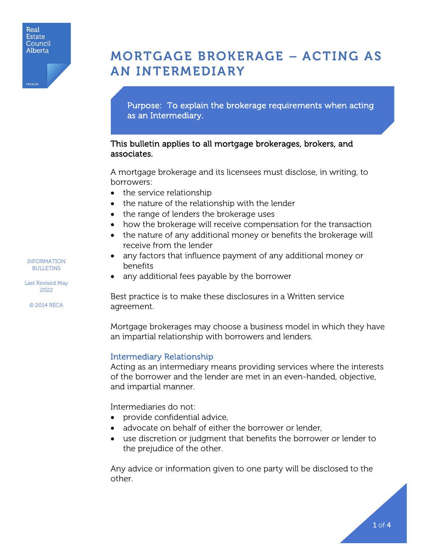

# MORTGAGE BROKERAGE – ACTING AS AN INTERMEDIARY

Purpose: To explain the brokerage requirements when acting as an Intermediary.

## This bulletin applies to all mortgage brokerages, brokers, and associates.

A mortgage brokerage and its licensees must disclose, in writing, to borrowers:

- the service relationship
- the nature of the relationship with the lender
- the range of lenders the brokerage uses
- how the brokerage will receive compensation for the transaction
- the nature of any additional money or benefits the brokerage will receive from the lender
- any factors that influence payment of any additional money or benefits
- any additional fees payable by the borrower

Best practice is to make these disclosures in a Written service agreement.

Mortgage brokerages may choose a business model in which they have an impartial relationship with borrowers and lenders.

### Intermediary Relationship

Acting as an intermediary means providing services where the interests of the borrower and the lender are met in an even-handed, objective, and impartial manner.

Intermediaries do not:

- provide confidential advice,
- advocate on behalf of either the borrower or lender,
- use discretion or judgment that benefits the borrower or lender to the prejudice of the other.

Any advice or information given to one party will be disclosed to the other.

INFORMATION BULLETINS

Last Revised May 2022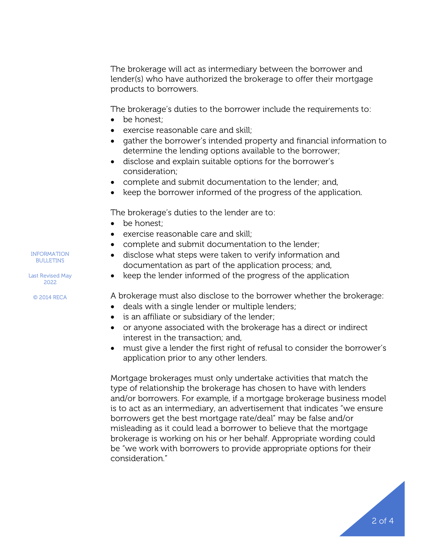The brokerage will act as intermediary between the borrower and lender(s) who have authorized the brokerage to offer their mortgage products to borrowers.

The brokerage's duties to the borrower include the requirements to:

- be honest:
- exercise reasonable care and skill;
- gather the borrower's intended property and financial information to determine the lending options available to the borrower;
- disclose and explain suitable options for the borrower's consideration;
- complete and submit documentation to the lender; and,
- keep the borrower informed of the progress of the application.

The brokerage's duties to the lender are to:

- be honest;
- exercise reasonable care and skill;
- complete and submit documentation to the lender;
- disclose what steps were taken to verify information and documentation as part of the application process; and,
- keep the lender informed of the progress of the application

A brokerage must also disclose to the borrower whether the brokerage:

- deals with a single lender or multiple lenders;
- is an affiliate or subsidiary of the lender;
- or anyone associated with the brokerage has a direct or indirect interest in the transaction; and,
- must give a lender the first right of refusal to consider the borrower's application prior to any other lenders.

Mortgage brokerages must only undertake activities that match the type of relationship the brokerage has chosen to have with lenders and/or borrowers. For example, if a mortgage brokerage business model is to act as an intermediary, an advertisement that indicates "we ensure borrowers get the best mortgage rate/deal" may be false and/or misleading as it could lead a borrower to believe that the mortgage brokerage is working on his or her behalf. Appropriate wording could be "we work with borrowers to provide appropriate options for their consideration."



Last Revised May 2022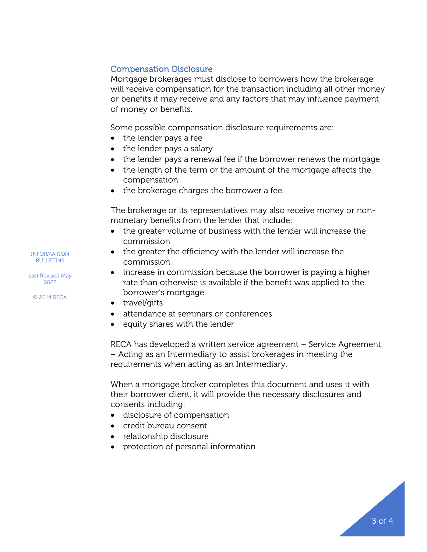## Compensation Disclosure

Mortgage brokerages must disclose to borrowers how the brokerage will receive compensation for the transaction including all other money or benefits it may receive and any factors that may influence payment of money or benefits.

Some possible compensation disclosure requirements are:

- the lender pays a fee
- the lender pays a salary
- the lender pays a renewal fee if the borrower renews the mortgage
- the length of the term or the amount of the mortgage affects the compensation
- the brokerage charges the borrower a fee.

The brokerage or its representatives may also receive money or nonmonetary benefits from the lender that include:

- the greater volume of business with the lender will increase the commission
- the greater the efficiency with the lender will increase the commission
- increase in commission because the borrower is paying a higher rate than otherwise is available if the benefit was applied to the borrower's mortgage
- travel/gifts
- attendance at seminars or conferences
- equity shares with the lender

RECA has developed a written service agreement – Service Agreement – Acting as an Intermediary to assist brokerages in meeting the requirements when acting as an Intermediary.

When a mortgage broker completes this document and uses it with their borrower client, it will provide the necessary disclosures and consents including:

- disclosure of compensation
- credit bureau consent
- relationship disclosure
- protection of personal information



Last Revised May 2022